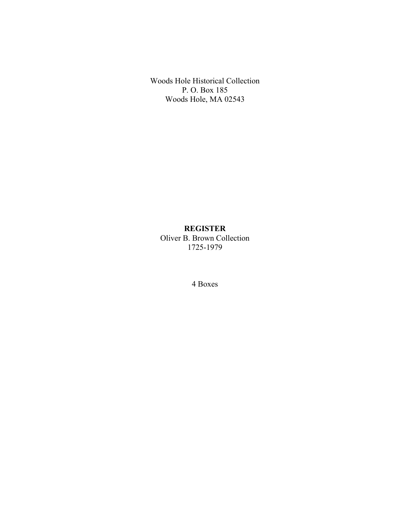Woods Hole Historical Collection P. O. Box 185 Woods Hole, MA 02543

#### **REGISTER** Oliver B. Brown Collection 1725-1979

4 Boxes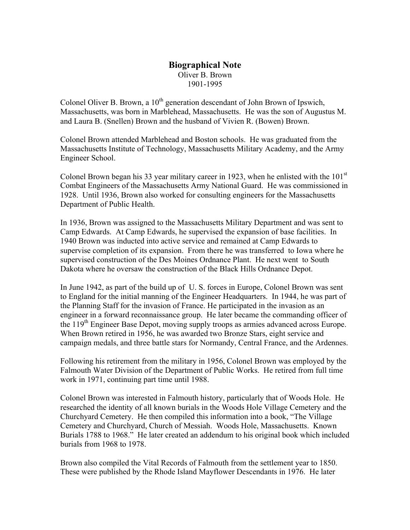## **Biographical Note** Oliver B. Brown 1901-1995

Colonel Oliver B. Brown, a  $10<sup>th</sup>$  generation descendant of John Brown of Ipswich, Massachusetts, was born in Marblehead, Massachusetts. He was the son of Augustus M. and Laura B. (Snellen) Brown and the husband of Vivien R. (Bowen) Brown.

Colonel Brown attended Marblehead and Boston schools. He was graduated from the Massachusetts Institute of Technology, Massachusetts Military Academy, and the Army Engineer School.

Colonel Brown began his 33 year military career in 1923, when he enlisted with the  $101<sup>st</sup>$ Combat Engineers of the Massachusetts Army National Guard. He was commissioned in 1928. Until 1936, Brown also worked for consulting engineers for the Massachusetts Department of Public Health.

In 1936, Brown was assigned to the Massachusetts Military Department and was sent to Camp Edwards. At Camp Edwards, he supervised the expansion of base facilities. In 1940 Brown was inducted into active service and remained at Camp Edwards to supervise completion of its expansion. From there he was transferred to Iowa where he supervised construction of the Des Moines Ordnance Plant. He next went to South Dakota where he oversaw the construction of the Black Hills Ordnance Depot.

In June 1942, as part of the build up of U. S. forces in Europe, Colonel Brown was sent to England for the initial manning of the Engineer Headquarters. In 1944, he was part of the Planning Staff for the invasion of France. He participated in the invasion as an engineer in a forward reconnaissance group. He later became the commanding officer of the 119<sup>th</sup> Engineer Base Depot, moving supply troops as armies advanced across Europe. When Brown retired in 1956, he was awarded two Bronze Stars, eight service and campaign medals, and three battle stars for Normandy, Central France, and the Ardennes.

Following his retirement from the military in 1956, Colonel Brown was employed by the Falmouth Water Division of the Department of Public Works. He retired from full time work in 1971, continuing part time until 1988.

Colonel Brown was interested in Falmouth history, particularly that of Woods Hole. He researched the identity of all known burials in the Woods Hole Village Cemetery and the Churchyard Cemetery. He then compiled this information into a book, "The Village Cemetery and Churchyard, Church of Messiah. Woods Hole, Massachusetts. Known Burials 1788 to 1968." He later created an addendum to his original book which included burials from 1968 to 1978.

Brown also compiled the Vital Records of Falmouth from the settlement year to 1850. These were published by the Rhode Island Mayflower Descendants in 1976. He later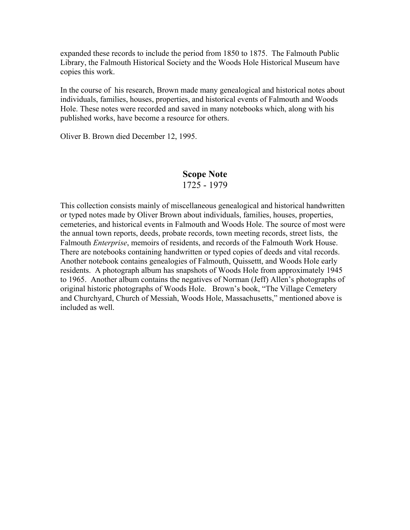expanded these records to include the period from 1850 to 1875. The Falmouth Public Library, the Falmouth Historical Society and the Woods Hole Historical Museum have copies this work.

In the course of his research, Brown made many genealogical and historical notes about individuals, families, houses, properties, and historical events of Falmouth and Woods Hole. These notes were recorded and saved in many notebooks which, along with his published works, have become a resource for others.

Oliver B. Brown died December 12, 1995.

# **Scope Note**

#### 1725 - 1979

This collection consists mainly of miscellaneous genealogical and historical handwritten or typed notes made by Oliver Brown about individuals, families, houses, properties, cemeteries, and historical events in Falmouth and Woods Hole. The source of most were the annual town reports, deeds, probate records, town meeting records, street lists, the Falmouth *Enterprise*, memoirs of residents, and records of the Falmouth Work House. There are notebooks containing handwritten or typed copies of deeds and vital records. Another notebook contains genealogies of Falmouth, Quissettt, and Woods Hole early residents. A photograph album has snapshots of Woods Hole from approximately 1945 to 1965. Another album contains the negatives of Norman (Jeff) Allen's photographs of original historic photographs of Woods Hole. Brown's book, "The Village Cemetery and Churchyard, Church of Messiah, Woods Hole, Massachusetts," mentioned above is included as well.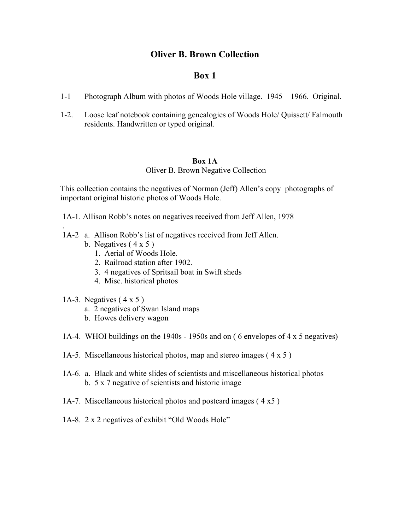### **Oliver B. Brown Collection**

#### **Box 1**

- 1-1 Photograph Album with photos of Woods Hole village. 1945 1966. Original.
- 1-2. Loose leaf notebook containing genealogies of Woods Hole/ Quissett/ Falmouth residents. Handwritten or typed original.

#### **Box 1A**

Oliver B. Brown Negative Collection

This collection contains the negatives of Norman (Jeff) Allen's copy photographs of important original historic photos of Woods Hole.

1A-1. Allison Robb's notes on negatives received from Jeff Allen, 1978

- 1A-2 a. Allison Robb's list of negatives received from Jeff Allen.
	- b. Negatives  $(4 \times 5)$ 
		- 1. Aerial of Woods Hole.
		- 2. Railroad station after 1902.
		- 3. 4 negatives of Spritsail boat in Swift sheds
		- 4. Misc. historical photos
- 1A-3. Negatives  $(4 \times 5)$

.

- a. 2 negatives of Swan Island maps
- b. Howes delivery wagon
- 1A-4. WHOI buildings on the 1940s 1950s and on ( 6 envelopes of 4 x 5 negatives)
- 1A-5. Miscellaneous historical photos, map and stereo images ( 4 x 5 )
- 1A-6. a. Black and white slides of scientists and miscellaneous historical photos b. 5 x 7 negative of scientists and historic image
- 1A-7. Miscellaneous historical photos and postcard images ( 4 x5 )
- 1A-8. 2 x 2 negatives of exhibit "Old Woods Hole"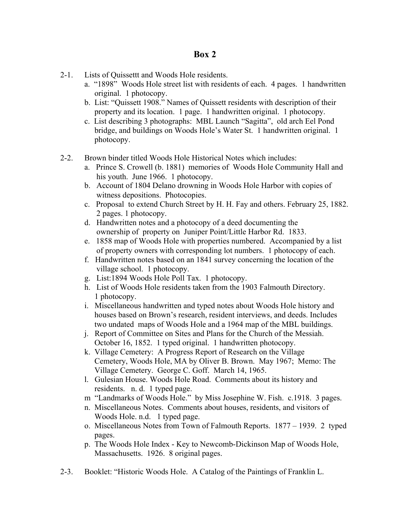### **Box 2**

- 2-1. Lists of Quissettt and Woods Hole residents.
	- a. "1898" Woods Hole street list with residents of each. 4 pages. 1 handwritten original. 1 photocopy.
	- b. List: "Quissett 1908." Names of Quissett residents with description of their property and its location. 1 page. 1 handwritten original. 1 photocopy.
	- c. List describing 3 photographs: MBL Launch "Sagitta", old arch Eel Pond bridge, and buildings on Woods Hole's Water St. 1 handwritten original. 1 photocopy.
- 2-2. Brown binder titled Woods Hole Historical Notes which includes:
	- a. Prince S. Crowell (b. 1881) memories of Woods Hole Community Hall and his youth. June 1966. 1 photocopy.
	- b. Account of 1804 Delano drowning in Woods Hole Harbor with copies of witness depositions. Photocopies.
	- c. Proposal to extend Church Street by H. H. Fay and others. February 25, 1882. 2 pages. 1 photocopy.
	- d. Handwritten notes and a photocopy of a deed documenting the ownership of property on Juniper Point/Little Harbor Rd. 1833.
	- e. 1858 map of Woods Hole with properties numbered. Accompanied by a list of property owners with corresponding lot numbers. 1 photocopy of each.
	- f. Handwritten notes based on an 1841 survey concerning the location of the village school. 1 photocopy.
	- g. List:1894 Woods Hole Poll Tax. 1 photocopy.
	- h. List of Woods Hole residents taken from the 1903 Falmouth Directory. 1 photocopy.
	- i. Miscellaneous handwritten and typed notes about Woods Hole history and houses based on Brown's research, resident interviews, and deeds. Includes two undated maps of Woods Hole and a 1964 map of the MBL buildings.
	- j. Report of Committee on Sites and Plans for the Church of the Messiah. October 16, 1852. 1 typed original. 1 handwritten photocopy.
	- k. Village Cemetery: A Progress Report of Research on the Village Cemetery, Woods Hole, MA by Oliver B. Brown. May 1967; Memo: The Village Cemetery. George C. Goff. March 14, 1965.
	- l. Gulesian House. Woods Hole Road. Comments about its history and residents. n. d. 1 typed page.
	- m "Landmarks of Woods Hole." by Miss Josephine W. Fish. c.1918. 3 pages.
	- n. Miscellaneous Notes. Comments about houses, residents, and visitors of Woods Hole. n.d. 1 typed page.
	- o. Miscellaneous Notes from Town of Falmouth Reports. 1877 1939. 2 typed pages.
	- p. The Woods Hole Index Key to Newcomb-Dickinson Map of Woods Hole, Massachusetts. 1926. 8 original pages.
- 2-3. Booklet: "Historic Woods Hole. A Catalog of the Paintings of Franklin L.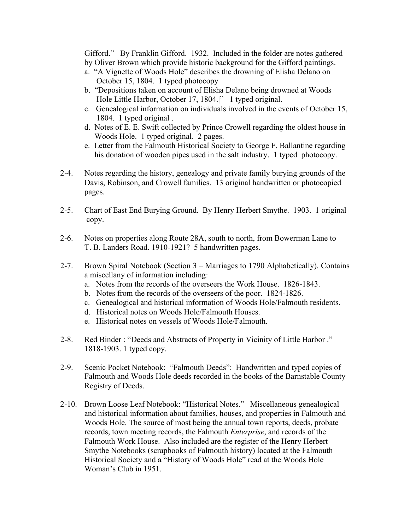Gifford." By Franklin Gifford. 1932. Included in the folder are notes gathered by Oliver Brown which provide historic background for the Gifford paintings.

- a. "A Vignette of Woods Hole" describes the drowning of Elisha Delano on October 15, 1804. 1 typed photocopy
- b. "Depositions taken on account of Elisha Delano being drowned at Woods Hole Little Harbor, October 17, 1804.|" 1 typed original.
- c. Genealogical information on individuals involved in the events of October 15, 1804. 1 typed original .
- d. Notes of E. E. Swift collected by Prince Crowell regarding the oldest house in Woods Hole. 1 typed original. 2 pages.
- e. Letter from the Falmouth Historical Society to George F. Ballantine regarding his donation of wooden pipes used in the salt industry. 1 typed photocopy.
- 2-4. Notes regarding the history, genealogy and private family burying grounds of the Davis, Robinson, and Crowell families. 13 original handwritten or photocopied pages.
- 2-5. Chart of East End Burying Ground. By Henry Herbert Smythe. 1903. 1 original copy.
- 2-6. Notes on properties along Route 28A, south to north, from Bowerman Lane to T. B. Landers Road. 1910-1921? 5 handwritten pages.
- 2-7. Brown Spiral Notebook (Section 3 Marriages to 1790 Alphabetically). Contains a miscellany of information including:
	- a. Notes from the records of the overseers the Work House. 1826-1843.
	- b. Notes from the records of the overseers of the poor. 1824-1826.
	- c. Genealogical and historical information of Woods Hole/Falmouth residents.
	- d. Historical notes on Woods Hole/Falmouth Houses.
	- e. Historical notes on vessels of Woods Hole/Falmouth.
- 2-8. Red Binder : "Deeds and Abstracts of Property in Vicinity of Little Harbor ." 1818-1903. 1 typed copy.
- 2-9. Scenic Pocket Notebook: "Falmouth Deeds": Handwritten and typed copies of Falmouth and Woods Hole deeds recorded in the books of the Barnstable County Registry of Deeds.
- 2-10. Brown Loose Leaf Notebook: "Historical Notes." Miscellaneous genealogical and historical information about families, houses, and properties in Falmouth and Woods Hole. The source of most being the annual town reports, deeds, probate records, town meeting records, the Falmouth *Enterprise*, and records of the Falmouth Work House. Also included are the register of the Henry Herbert Smythe Notebooks (scrapbooks of Falmouth history) located at the Falmouth Historical Society and a "History of Woods Hole" read at the Woods Hole Woman's Club in 1951.